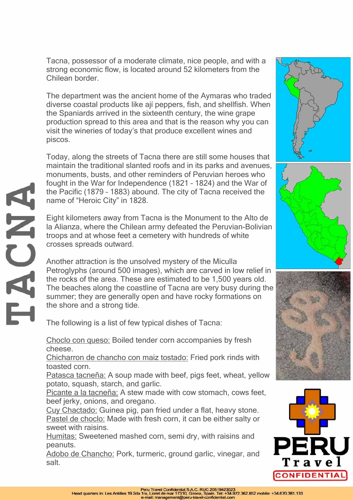Tacna, possessor of a moderate climate, nice people, and with a strong economic flow, is located around 52 kilometers from the Chilean border.

The department was the ancient home of the Aymaras who traded diverse coastal products like ají peppers, fish, and shellfish. When the Spaniards arrived in the sixteenth century, the wine grape production spread to this area and that is the reason why you can visit the wineries of today's that produce excellent wines and piscos.

Today, along the streets of Tacna there are still some houses that maintain the traditional slanted roofs and in its parks and avenues, monuments, busts, and other reminders of Peruvian heroes who fought in the War for Independence (1821 – 1824) and the War of the Pacific (1879 – 1883) abound. The city of Tacna received the name of "Heroic City" in 1828.

Eight kilometers away from Tacna is the Monument to the Alto de la Alianza, where the Chilean army defeated the Peruvian-Bolivian troops and at whose feet a cemetery with hundreds of white crosses spreads outward.

Another attraction is the unsolved mystery of the Miculla Petroglyphs (around 500 images), which are carved in low relief in the rocks of the area. These are estimated to be 1,500 years old. The beaches along the coastline of Tacna are very busy during the summer; they are generally open and have rocky formations on the shore and a strong tide.

The following is a list of few typical dishes of Tacna:

Choclo con queso: Boiled tender corn accompanies by fresh cheese.

Chicharron de chancho con maiz tostado: Fried pork rinds with toasted corn.

Patasca tacneña: A soup made with beef, pigs feet, wheat, yellow potato, squash, starch, and garlic.

Picante a la tacneña: A stew made with cow stomach, cows feet, beef jerky, onions, and oregano.

Cuy Chactado: Guinea pig, pan fried under a flat, heavy stone. Pastel de choclo: Made with fresh corn, it can be either salty or sweet with raisins.

Humitas: Sweetened mashed corn, semi dry, with raisins and peanuts.

Adobo de Chancho: Pork, turmeric, ground garlic, vinegar, and salt.